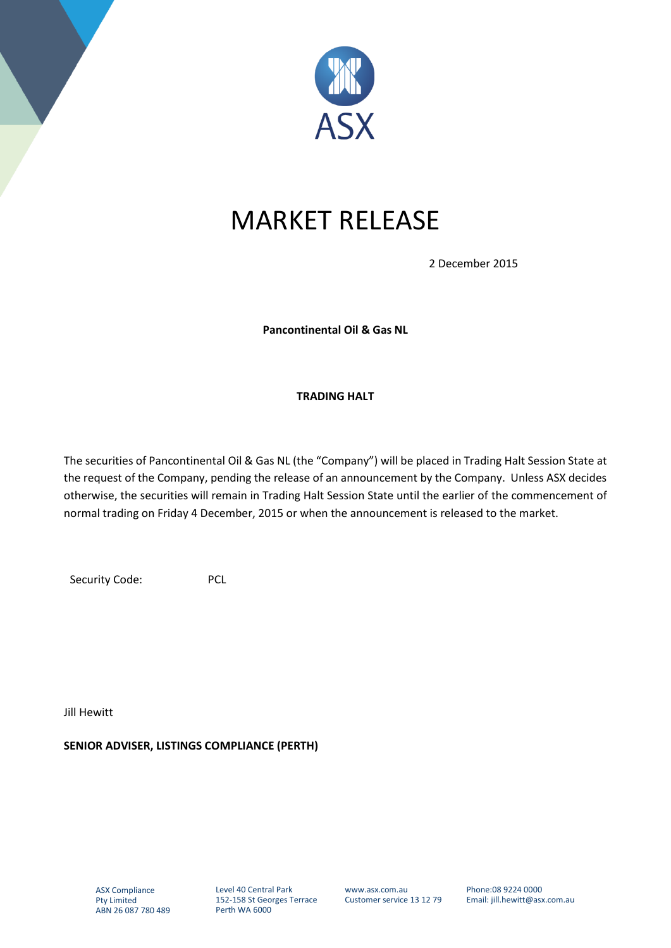

## MARKET RELEASE

2 December 2015

**Pancontinental Oil & Gas NL**

## **TRADING HALT**

The securities of Pancontinental Oil & Gas NL (the "Company") will be placed in Trading Halt Session State at the request of the Company, pending the release of an announcement by the Company. Unless ASX decides otherwise, the securities will remain in Trading Halt Session State until the earlier of the commencement of normal trading on Friday 4 December, 2015 or when the announcement is released to the market.

Security Code: PCL

Jill Hewitt

**SENIOR ADVISER, LISTINGS COMPLIANCE (PERTH)**

Level 40 Central Park 152-158 St Georges Terrace Perth WA 6000

www.asx.com.au Customer service 13 12 79 Phone:08 9224 0000 Email: jill.hewitt@asx.com.au